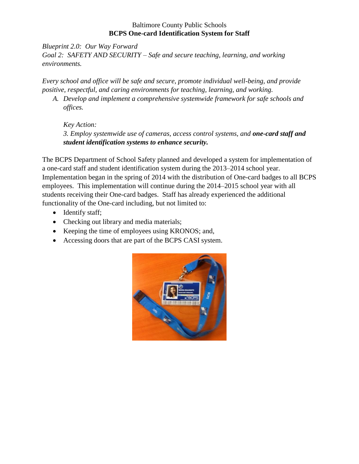### Baltimore County Public Schools **BCPS One-card Identification System for Staff**

*Blueprint 2.0: Our Way Forward Goal 2: SAFETY AND SECURITY – Safe and secure teaching, learning, and working environments.*

*Every school and office will be safe and secure, promote individual well-being, and provide positive, respectful, and caring environments for teaching, learning, and working.*

*A. Develop and implement a comprehensive systemwide framework for safe schools and offices.*

*Key Action: 3. Employ systemwide use of cameras, access control systems, and one-card staff and student identification systems to enhance security.*

The BCPS Department of School Safety planned and developed a system for implementation of a one-card staff and student identification system during the 2013–2014 school year. Implementation began in the spring of 2014 with the distribution of One-card badges to all BCPS employees. This implementation will continue during the 2014–2015 school year with all students receiving their One-card badges. Staff has already experienced the additional functionality of the One-card including, but not limited to:

- Identify staff;
- Checking out library and media materials;
- Keeping the time of employees using KRONOS; and,
- Accessing doors that are part of the BCPS CASI system.